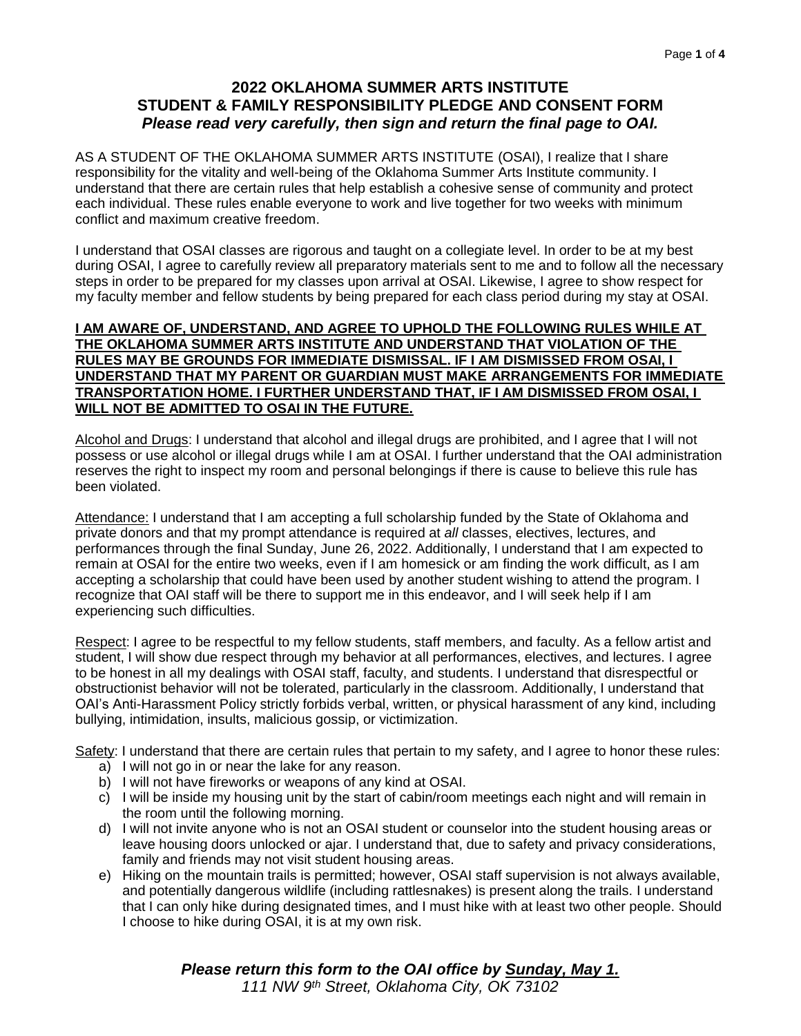## **2022 OKLAHOMA SUMMER ARTS INSTITUTE STUDENT & FAMILY RESPONSIBILITY PLEDGE AND CONSENT FORM** *Please read very carefully, then sign and return the final page to OAI.*

AS A STUDENT OF THE OKLAHOMA SUMMER ARTS INSTITUTE (OSAI), I realize that I share responsibility for the vitality and well-being of the Oklahoma Summer Arts Institute community. I understand that there are certain rules that help establish a cohesive sense of community and protect each individual. These rules enable everyone to work and live together for two weeks with minimum conflict and maximum creative freedom.

I understand that OSAI classes are rigorous and taught on a collegiate level. In order to be at my best during OSAI, I agree to carefully review all preparatory materials sent to me and to follow all the necessary steps in order to be prepared for my classes upon arrival at OSAI. Likewise, I agree to show respect for my faculty member and fellow students by being prepared for each class period during my stay at OSAI.

#### **I AM AWARE OF, UNDERSTAND, AND AGREE TO UPHOLD THE FOLLOWING RULES WHILE AT THE OKLAHOMA SUMMER ARTS INSTITUTE AND UNDERSTAND THAT VIOLATION OF THE RULES MAY BE GROUNDS FOR IMMEDIATE DISMISSAL. IF I AM DISMISSED FROM OSAI, I UNDERSTAND THAT MY PARENT OR GUARDIAN MUST MAKE ARRANGEMENTS FOR IMMEDIATE TRANSPORTATION HOME. I FURTHER UNDERSTAND THAT, IF I AM DISMISSED FROM OSAI, I WILL NOT BE ADMITTED TO OSAI IN THE FUTURE.**

Alcohol and Drugs: I understand that alcohol and illegal drugs are prohibited, and I agree that I will not possess or use alcohol or illegal drugs while I am at OSAI. I further understand that the OAI administration reserves the right to inspect my room and personal belongings if there is cause to believe this rule has been violated.

Attendance: I understand that I am accepting a full scholarship funded by the State of Oklahoma and private donors and that my prompt attendance is required at *all* classes, electives, lectures, and performances through the final Sunday, June 26, 2022. Additionally, I understand that I am expected to remain at OSAI for the entire two weeks, even if I am homesick or am finding the work difficult, as I am accepting a scholarship that could have been used by another student wishing to attend the program. I recognize that OAI staff will be there to support me in this endeavor, and I will seek help if I am experiencing such difficulties.

Respect: I agree to be respectful to my fellow students, staff members, and faculty. As a fellow artist and student, I will show due respect through my behavior at all performances, electives, and lectures. I agree to be honest in all my dealings with OSAI staff, faculty, and students. I understand that disrespectful or obstructionist behavior will not be tolerated, particularly in the classroom. Additionally, I understand that OAI's Anti-Harassment Policy strictly forbids verbal, written, or physical harassment of any kind, including bullying, intimidation, insults, malicious gossip, or victimization.

Safety: I understand that there are certain rules that pertain to my safety, and I agree to honor these rules:

- a) I will not go in or near the lake for any reason.
- b) I will not have fireworks or weapons of any kind at OSAI.
- c) I will be inside my housing unit by the start of cabin/room meetings each night and will remain in the room until the following morning.
- d) I will not invite anyone who is not an OSAI student or counselor into the student housing areas or leave housing doors unlocked or ajar. I understand that, due to safety and privacy considerations, family and friends may not visit student housing areas.
- e) Hiking on the mountain trails is permitted; however, OSAI staff supervision is not always available, and potentially dangerous wildlife (including rattlesnakes) is present along the trails. I understand that I can only hike during designated times, and I must hike with at least two other people. Should I choose to hike during OSAI, it is at my own risk.

# *Please return this form to the OAI office by Sunday, May 1.*

*111 NW 9th Street, Oklahoma City, OK 73102*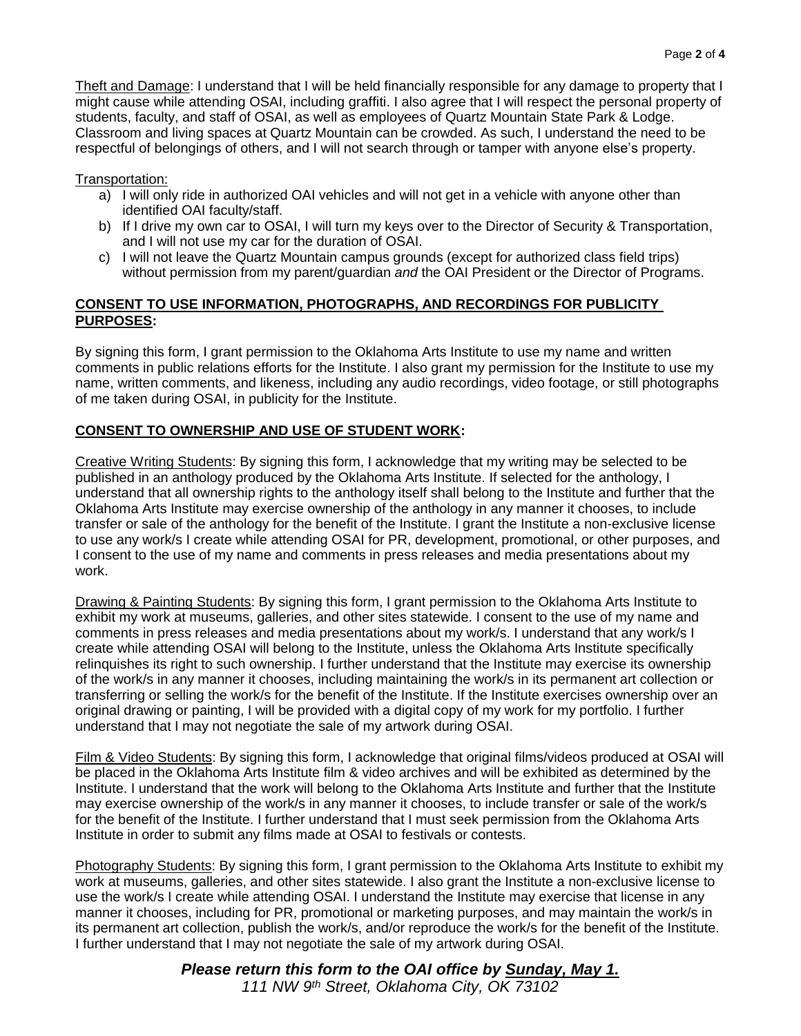Theft and Damage: I understand that I will be held financially responsible for any damage to property that I might cause while attending OSAI, including graffiti. I also agree that I will respect the personal property of students, faculty, and staff of OSAI, as well as employees of Quartz Mountain State Park & Lodge. Classroom and living spaces at Quartz Mountain can be crowded. As such, I understand the need to be respectful of belongings of others, and I will not search through or tamper with anyone else's property.

#### Transportation:

- a) I will only ride in authorized OAI vehicles and will not get in a vehicle with anyone other than identified OAI faculty/staff.
- b) If I drive my own car to OSAI, I will turn my keys over to the Director of Security & Transportation, and I will not use my car for the duration of OSAI.
- c) I will not leave the Quartz Mountain campus grounds (except for authorized class field trips) without permission from my parent/guardian *and* the OAI President or the Director of Programs.

#### **CONSENT TO USE INFORMATION, PHOTOGRAPHS, AND RECORDINGS FOR PUBLICITY PURPOSES:**

By signing this form, I grant permission to the Oklahoma Arts Institute to use my name and written comments in public relations efforts for the Institute. I also grant my permission for the Institute to use my name, written comments, and likeness, including any audio recordings, video footage, or still photographs of me taken during OSAI, in publicity for the Institute.

### **CONSENT TO OWNERSHIP AND USE OF STUDENT WORK:**

Creative Writing Students: By signing this form, I acknowledge that my writing may be selected to be published in an anthology produced by the Oklahoma Arts Institute. If selected for the anthology, I understand that all ownership rights to the anthology itself shall belong to the Institute and further that the Oklahoma Arts Institute may exercise ownership of the anthology in any manner it chooses, to include transfer or sale of the anthology for the benefit of the Institute. I grant the Institute a non-exclusive license to use any work/s I create while attending OSAI for PR, development, promotional, or other purposes, and I consent to the use of my name and comments in press releases and media presentations about my work.

Drawing & Painting Students: By signing this form, I grant permission to the Oklahoma Arts Institute to exhibit my work at museums, galleries, and other sites statewide. I consent to the use of my name and comments in press releases and media presentations about my work/s. I understand that any work/s I create while attending OSAI will belong to the Institute, unless the Oklahoma Arts Institute specifically relinquishes its right to such ownership. I further understand that the Institute may exercise its ownership of the work/s in any manner it chooses, including maintaining the work/s in its permanent art collection or transferring or selling the work/s for the benefit of the Institute. If the Institute exercises ownership over an original drawing or painting, I will be provided with a digital copy of my work for my portfolio. I further understand that I may not negotiate the sale of my artwork during OSAI.

Film & Video Students: By signing this form, I acknowledge that original films/videos produced at OSAI will be placed in the Oklahoma Arts Institute film & video archives and will be exhibited as determined by the Institute. I understand that the work will belong to the Oklahoma Arts Institute and further that the Institute may exercise ownership of the work/s in any manner it chooses, to include transfer or sale of the work/s for the benefit of the Institute. I further understand that I must seek permission from the Oklahoma Arts Institute in order to submit any films made at OSAI to festivals or contests.

Photography Students: By signing this form, I grant permission to the Oklahoma Arts Institute to exhibit my work at museums, galleries, and other sites statewide. I also grant the Institute a non-exclusive license to use the work/s I create while attending OSAI. I understand the Institute may exercise that license in any manner it chooses, including for PR, promotional or marketing purposes, and may maintain the work/s in its permanent art collection, publish the work/s, and/or reproduce the work/s for the benefit of the Institute. I further understand that I may not negotiate the sale of my artwork during OSAI.

> *Please return this form to the OAI office by Sunday, May 1. 111 NW 9th Street, Oklahoma City, OK 73102*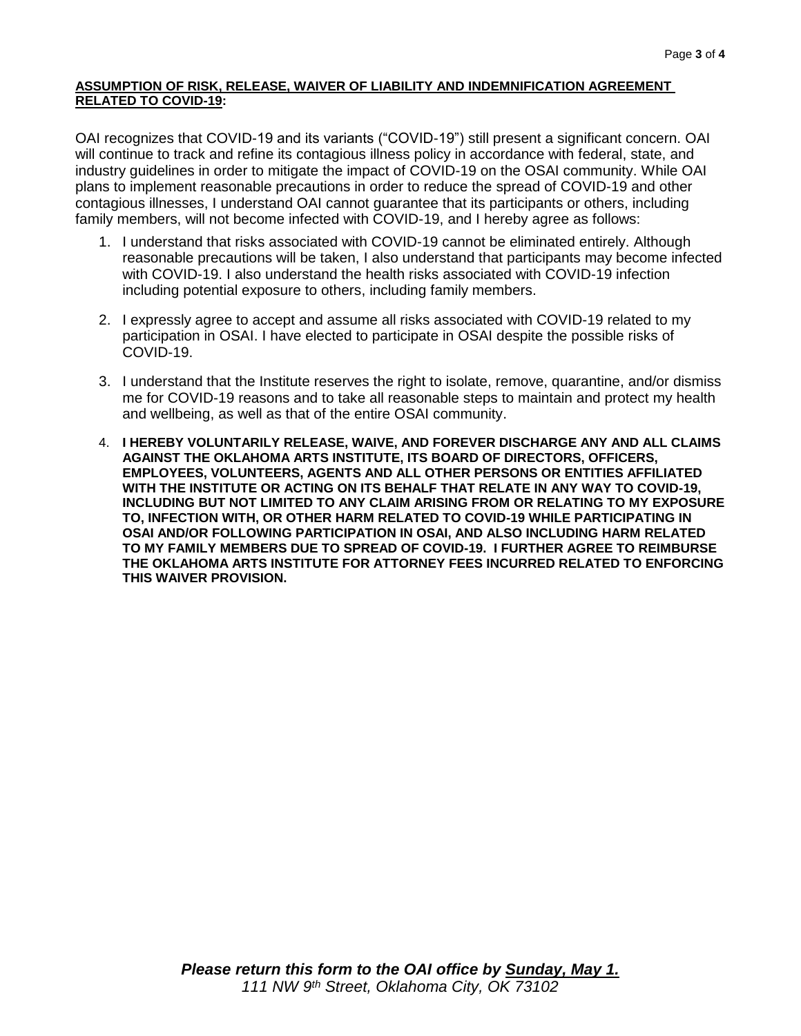#### **ASSUMPTION OF RISK, RELEASE, WAIVER OF LIABILITY AND INDEMNIFICATION AGREEMENT RELATED TO COVID-19:**

OAI recognizes that COVID-19 and its variants ("COVID-19") still present a significant concern. OAI will continue to track and refine its contagious illness policy in accordance with federal, state, and industry guidelines in order to mitigate the impact of COVID-19 on the OSAI community. While OAI plans to implement reasonable precautions in order to reduce the spread of COVID-19 and other contagious illnesses, I understand OAI cannot guarantee that its participants or others, including family members, will not become infected with COVID-19, and I hereby agree as follows:

- 1. I understand that risks associated with COVID-19 cannot be eliminated entirely. Although reasonable precautions will be taken, I also understand that participants may become infected with COVID-19. I also understand the health risks associated with COVID-19 infection including potential exposure to others, including family members.
- 2. I expressly agree to accept and assume all risks associated with COVID-19 related to my participation in OSAI. I have elected to participate in OSAI despite the possible risks of COVID-19.
- 3. I understand that the Institute reserves the right to isolate, remove, quarantine, and/or dismiss me for COVID-19 reasons and to take all reasonable steps to maintain and protect my health and wellbeing, as well as that of the entire OSAI community.
- 4. **I HEREBY VOLUNTARILY RELEASE, WAIVE, AND FOREVER DISCHARGE ANY AND ALL CLAIMS AGAINST THE OKLAHOMA ARTS INSTITUTE, ITS BOARD OF DIRECTORS, OFFICERS, EMPLOYEES, VOLUNTEERS, AGENTS AND ALL OTHER PERSONS OR ENTITIES AFFILIATED WITH THE INSTITUTE OR ACTING ON ITS BEHALF THAT RELATE IN ANY WAY TO COVID-19, INCLUDING BUT NOT LIMITED TO ANY CLAIM ARISING FROM OR RELATING TO MY EXPOSURE TO, INFECTION WITH, OR OTHER HARM RELATED TO COVID-19 WHILE PARTICIPATING IN OSAI AND/OR FOLLOWING PARTICIPATION IN OSAI, AND ALSO INCLUDING HARM RELATED TO MY FAMILY MEMBERS DUE TO SPREAD OF COVID-19. I FURTHER AGREE TO REIMBURSE THE OKLAHOMA ARTS INSTITUTE FOR ATTORNEY FEES INCURRED RELATED TO ENFORCING THIS WAIVER PROVISION.**